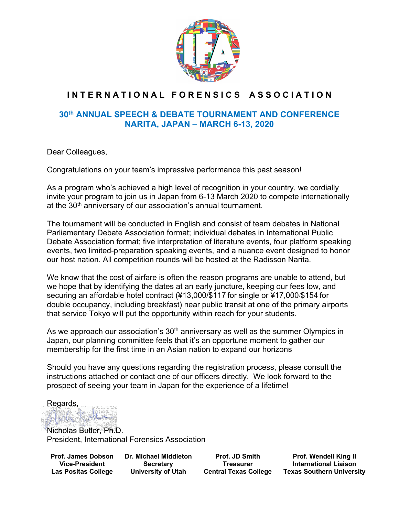

# INTERNATIONAL FORENSICS ASSOCIATION

# **30th ANNUAL SPEECH & DEBATE TOURNAMENT AND CONFERENCE NARITA, JAPAN – MARCH 6-13, 2020**

Dear Colleagues,

Congratulations on your team's impressive performance this past season!

As a program who's achieved a high level of recognition in your country, we cordially invite your program to join us in Japan from 6-13 March 2020 to compete internationally at the 30<sup>th</sup> anniversary of our association's annual tournament.

The tournament will be conducted in English and consist of team debates in National Parliamentary Debate Association format; individual debates in International Public Debate Association format; five interpretation of literature events, four platform speaking events, two limited-preparation speaking events, and a nuance event designed to honor our host nation. All competition rounds will be hosted at the Radisson Narita.

We know that the cost of airfare is often the reason programs are unable to attend, but we hope that by identifying the dates at an early juncture, keeping our fees low, and securing an affordable hotel contract (¥13,000/\$117 for single or ¥17,000/\$154 for double occupancy, including breakfast) near public transit at one of the primary airports that service Tokyo will put the opportunity within reach for your students.

As we approach our association's  $30<sup>th</sup>$  anniversary as well as the summer Olympics in Japan, our planning committee feels that it's an opportune moment to gather our membership for the first time in an Asian nation to expand our horizons

Should you have any questions regarding the registration process, please consult the instructions attached or contact one of our officers directly. We look forward to the prospect of seeing your team in Japan for the experience of a lifetime!

Regards,

Nicholas Butler, Ph.D. President, International Forensics Association

**Prof. James Dobson Vice-President Las Positas College**

**Dr. Michael Middleton Secretary University of Utah**

**Prof. JD Smith Treasurer Central Texas College**

**Prof. Wendell King II International Liaison Texas Southern University**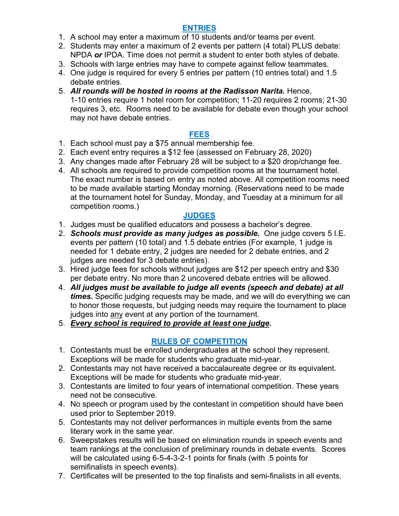# **ENTRIES**

- 1. A school may enter a maximum of 10 students and/or teams per event.
- 2. Students may enter a maximum of 2 events per pattern (4 total) PLUS debate: NPDA *or* IPDA. Time does not permit a student to enter both styles of debate.
- 3. Schools with large entries may have to compete against fellow teammates.
- 4. One judge is required for every 5 entries per pattern (10 entries total) and 1.5 debate entries.
- 5. *All rounds will be hosted in rooms at the Radisson Narita.* Hence, 1-10 entries require 1 hotel room for competition; 11-20 requires 2 rooms; 21-30 requires 3, etc. Rooms need to be available for debate even though your school may not have debate entries.

# **FEES**

- 1. Each school must pay a \$75 annual membership fee.
- 2. Each event entry requires a \$12 fee (assessed on February 28, 2020)
- 3. Any changes made after February 28 will be subject to a \$20 drop/change fee.
- 4. All schools are required to provide competition rooms at the tournament hotel. The exact number is based on entry as noted above. All competition rooms need to be made available starting Monday morning. (Reservations need to be made at the tournament hotel for Sunday, Monday, and Tuesday at a minimum for all competition rooms.)

# **JUDGES**

- 1. Judges must be qualified educators and possess a bachelor's degree.
- 2. *Schools must provide as many judges as possible.* One judge covers 5 I.E. events per pattern (10 total) and 1.5 debate entries (For example, 1 judge is needed for 1 debate entry, 2 judges are needed for 2 debate entries, and 2 judges are needed for 3 debate entries).
- 3. Hired judge fees for schools without judges are \$12 per speech entry and \$30 per debate entry. No more than 2 uncovered debate entries will be allowed.
- 4. *All judges must be available to judge all events (speech and debate) at all times.* Specific judging requests may be made, and we will do everything we can to honor those requests, but judging needs may require the tournament to place judges into any event at any portion of the tournament.
- 5. *Every school is required to provide at least one judge.*

# **RULES OF COMPETITION**

- 1. Contestants must be enrolled undergraduates at the school they represent. Exceptions will be made for students who graduate mid-year.
- 2. Contestants may not have received a baccalaureate degree or its equivalent. Exceptions will be made for students who graduate mid-year.
- 3. Contestants are limited to four years of international competition. These years need not be consecutive.
- 4. No speech or program used by the contestant in competition should have been used prior to September 2019.
- 5. Contestants may not deliver performances in multiple events from the same literary work in the same year.
- 6. Sweepstakes results will be based on elimination rounds in speech events and team rankings at the conclusion of preliminary rounds in debate events. Scores will be calculated using 6-5-4-3-2-1 points for finals (with .5 points for semifinalists in speech events).
- 7. Certificates will be presented to the top finalists and semi-finalists in all events.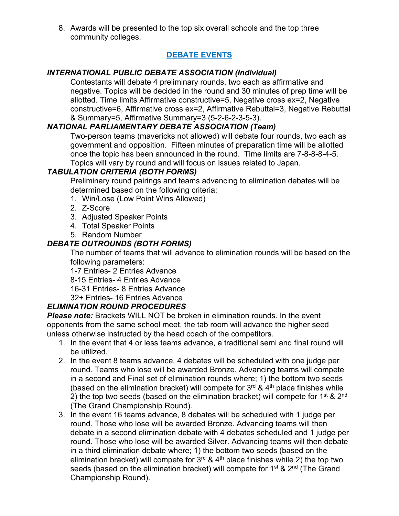8. Awards will be presented to the top six overall schools and the top three community colleges.

# **DEBATE EVENTS**

## *INTERNATIONAL PUBLIC DEBATE ASSOCIATION (Individual)*

Contestants will debate 4 preliminary rounds, two each as affirmative and negative. Topics will be decided in the round and 30 minutes of prep time will be allotted. Time limits Affirmative constructive=5, Negative cross ex=2, Negative constructive=6, Affirmative cross ex=2, Affirmative Rebuttal=3, Negative Rebuttal & Summary=5, Affirmative Summary=3 (5-2-6-2-3-5-3).

# *NATIONAL PARLIAMENTARY DEBATE ASSOCIATION (Team)*

Two-person teams (mavericks not allowed) will debate four rounds, two each as government and opposition. Fifteen minutes of preparation time will be allotted once the topic has been announced in the round. Time limits are 7-8-8-8-4-5. Topics will vary by round and will focus on issues related to Japan.

# *TABULATION CRITERIA (BOTH FORMS)*

Preliminary round pairings and teams advancing to elimination debates will be determined based on the following criteria:

- 1. Win/Lose (Low Point Wins Allowed)
- 2. Z-Score
- 3. Adjusted Speaker Points
- 4. Total Speaker Points
- 5. Random Number

## *DEBATE OUTROUNDS (BOTH FORMS)*

The number of teams that will advance to elimination rounds will be based on the following parameters:

1-7 Entries- 2 Entries Advance

8-15 Entries- 4 Entries Advance

16-31 Entries- 8 Entries Advance

32+ Entries- 16 Entries Advance

# *ELIMINATION ROUND PROCEDURES*

*Please note:* Brackets WILL NOT be broken in elimination rounds. In the event opponents from the same school meet, the tab room will advance the higher seed unless otherwise instructed by the head coach of the competitors.

- 1. In the event that 4 or less teams advance, a traditional semi and final round will be utilized.
- 2. In the event 8 teams advance, 4 debates will be scheduled with one judge per round. Teams who lose will be awarded Bronze. Advancing teams will compete in a second and Final set of elimination rounds where; 1) the bottom two seeds (based on the elimination bracket) will compete for  $3<sup>rd</sup>$  & 4<sup>th</sup> place finishes while 2) the top two seeds (based on the elimination bracket) will compete for  $1^{st}$  &  $2^{nd}$ (The Grand Championship Round).
- 3. In the event 16 teams advance, 8 debates will be scheduled with 1 judge per round. Those who lose will be awarded Bronze. Advancing teams will then debate in a second elimination debate with 4 debates scheduled and 1 judge per round. Those who lose will be awarded Silver. Advancing teams will then debate in a third elimination debate where; 1) the bottom two seeds (based on the elimination bracket) will compete for  $3<sup>rd</sup>$  & 4<sup>th</sup> place finishes while 2) the top two seeds (based on the elimination bracket) will compete for  $1<sup>st</sup>$  &  $2<sup>nd</sup>$  (The Grand Championship Round).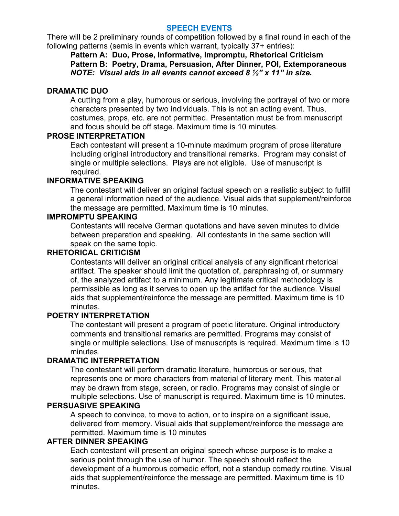#### **SPEECH EVENTS**

There will be 2 preliminary rounds of competition followed by a final round in each of the following patterns (semis in events which warrant, typically 37+ entries):

**Pattern A: Duo, Prose, Informative, Impromptu, Rhetorical Criticism Pattern B: Poetry, Drama, Persuasion, After Dinner, POI, Extemporaneous** *NOTE: Visual aids in all events cannot exceed 8 ½" x 11" in size.*

## **DRAMATIC DUO**

A cutting from a play, humorous or serious, involving the portrayal of two or more characters presented by two individuals. This is not an acting event. Thus, costumes, props, etc. are not permitted. Presentation must be from manuscript and focus should be off stage. Maximum time is 10 minutes.

## **PROSE INTERPRETATION**

Each contestant will present a 10-minute maximum program of prose literature including original introductory and transitional remarks. Program may consist of single or multiple selections. Plays are not eligible. Use of manuscript is required.

## **INFORMATIVE SPEAKING**

The contestant will deliver an original factual speech on a realistic subject to fulfill a general information need of the audience. Visual aids that supplement/reinforce the message are permitted. Maximum time is 10 minutes.

## **IMPROMPTU SPEAKING**

Contestants will receive German quotations and have seven minutes to divide between preparation and speaking. All contestants in the same section will speak on the same topic.

## **RHETORICAL CRITICISM**

Contestants will deliver an original critical analysis of any significant rhetorical artifact. The speaker should limit the quotation of, paraphrasing of, or summary of, the analyzed artifact to a minimum. Any legitimate critical methodology is permissible as long as it serves to open up the artifact for the audience. Visual aids that supplement/reinforce the message are permitted. Maximum time is 10 minutes.

#### **POETRY INTERPRETATION**

The contestant will present a program of poetic literature. Original introductory comments and transitional remarks are permitted. Programs may consist of single or multiple selections. Use of manuscripts is required. Maximum time is 10 minutes.

#### **DRAMATIC INTERPRETATION**

The contestant will perform dramatic literature, humorous or serious, that represents one or more characters from material of literary merit. This material may be drawn from stage, screen, or radio. Programs may consist of single or multiple selections. Use of manuscript is required. Maximum time is 10 minutes.

#### **PERSUASIVE SPEAKING**

A speech to convince, to move to action, or to inspire on a significant issue, delivered from memory. Visual aids that supplement/reinforce the message are permitted. Maximum time is 10 minutes

#### **AFTER DINNER SPEAKING**

Each contestant will present an original speech whose purpose is to make a serious point through the use of humor. The speech should reflect the development of a humorous comedic effort, not a standup comedy routine. Visual aids that supplement/reinforce the message are permitted. Maximum time is 10 minutes.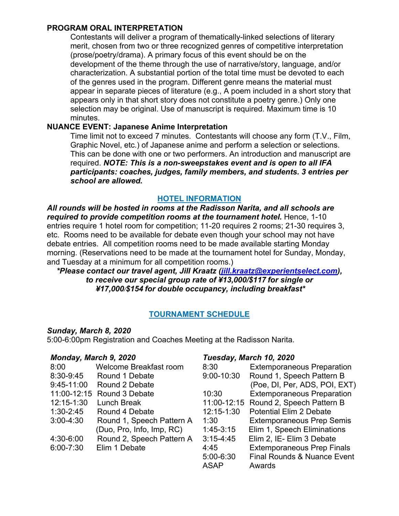#### **PROGRAM ORAL INTERPRETATION**

Contestants will deliver a program of thematically-linked selections of literary merit, chosen from two or three recognized genres of competitive interpretation (prose/poetry/drama). A primary focus of this event should be on the development of the theme through the use of narrative/story, language, and/or characterization. A substantial portion of the total time must be devoted to each of the genres used in the program. Different genre means the material must appear in separate pieces of literature (e.g., A poem included in a short story that appears only in that short story does not constitute a poetry genre.) Only one selection may be original. Use of manuscript is required. Maximum time is 10 minutes.

#### **NUANCE EVENT: Japanese Anime Interpretation**

Time limit not to exceed 7 minutes. Contestants will choose any form (T.V., Film, Graphic Novel, etc.) of Japanese anime and perform a selection or selections. This can be done with one or two performers. An introduction and manuscript are required. *NOTE: This is a non-sweepstakes event and is open to all IFA participants: coaches, judges, family members, and students. 3 entries per school are allowed.*

## **HOTEL INFORMATION**

*All rounds will be hosted in rooms at the Radisson Narita, and all schools are required to provide competition rooms at the tournament hotel.* Hence, 1-10 entries require 1 hotel room for competition; 11-20 requires 2 rooms; 21-30 requires 3, etc. Rooms need to be available for debate even though your school may not have debate entries. All competition rooms need to be made available starting Monday morning. (Reservations need to be made at the tournament hotel for Sunday, Monday, and Tuesday at a minimum for all competition rooms.)

*\*Please contact our travel agent, Jill Kraatz (jill.kraatz@experientselect.com), to receive our special group rate of ¥13,000/\$117 for single or ¥17,000/\$154 for double occupancy, including breakfast\**

# **TOURNAMENT SCHEDULE**

#### *Sunday, March 8, 2020*

5:00-6:00pm Registration and Coaches Meeting at the Radisson Narita.

#### *Monday, March 9, 2020*

| 8:00          | Welcome Breakfast room    |
|---------------|---------------------------|
| 8:30-9:45     | Round 1 Debate            |
| 9:45-11:00    | Round 2 Debate            |
| 11:00-12:15   | Round 3 Debate            |
| 12:15-1:30    | Lunch Break               |
| $1:30 - 2:45$ | Round 4 Debate            |
| $3:00 - 4:30$ | Round 1, Speech Pattern A |
|               | (Duo, Pro, Info, Imp, RC) |
| 4:30-6:00     | Round 2, Speech Pattern A |
| $6:00 - 7:30$ | Elim 1 Debate             |
|               |                           |
|               |                           |

#### *Tuesday, March 10, 2020*

| 8:30          | <b>Extemporaneous Preparation</b>      |
|---------------|----------------------------------------|
| 9:00-10:30    | Round 1, Speech Pattern B              |
|               | (Poe, DI, Per, ADS, POI, EXT)          |
| 10:30         | <b>Extemporaneous Preparation</b>      |
| 11:00-12:15   | Round 2, Speech Pattern B              |
| 12:15-1:30    | <b>Potential Elim 2 Debate</b>         |
| 1:30          | <b>Extemporaneous Prep Semis</b>       |
| $1:45-3:15$   | Elim 1, Speech Eliminations            |
| $3:15 - 4:45$ | Elim 2, IE- Elim 3 Debate              |
| 4:45          | <b>Extemporaneous Prep Finals</b>      |
| 5:00-6:30     | <b>Final Rounds &amp; Nuance Event</b> |
| <b>ASAP</b>   | Awards                                 |